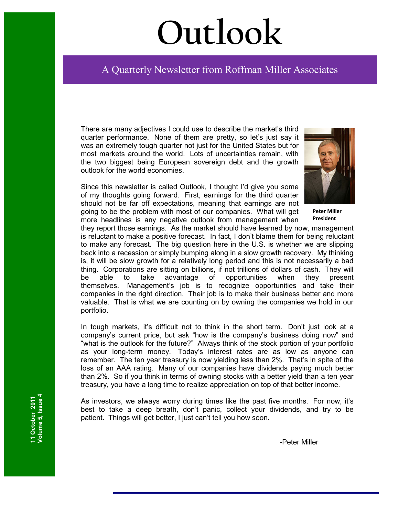# **Outlook**

# Ī A Quarterly Newsletter from Roffman Miller Associates

There are many adjectives I could use to describe the market's third quarter performance. None of them are pretty, so let's just say it was an extremely tough quarter not just for the United States but for most markets around the world. Lots of uncertainties remain, with the two biggest being European sovereign debt and the growth outlook for the world economies.

Since this newsletter is called Outlook, I thought I'd give you some of my thoughts going forward. First, earnings for the third quarter should not be far off expectations, meaning that earnings are not going to be the problem with most of our companies. What will get more headlines is any negative outlook from management when

**Peter Miller President**

they report those earnings. As the market should have learned by now, management is reluctant to make a positive forecast. In fact, I don't blame them for being reluctant to make any forecast. The big question here in the U.S. is whether we are slipping back into a recession or simply bumping along in a slow growth recovery. My thinking is, it will be slow growth for a relatively long period and this is not necessarily a bad thing. Corporations are sitting on billions, if not trillions of dollars of cash. They will be able to take advantage of opportunities when they present themselves. Management's job is to recognize opportunities and take their companies in the right direction. Their job is to make their business better and more valuable. That is what we are counting on by owning the companies we hold in our portfolio.

In tough markets, it's difficult not to think in the short term. Don't just look at a company's current price, but ask "how is the company's business doing now" and "what is the outlook for the future?" Always think of the stock portion of your portfolio as your long-term money. Today's interest rates are as low as anyone can remember. The ten year treasury is now yielding less than 2%. That's in spite of the loss of an AAA rating. Many of our companies have dividends paying much better than 2%. So if you think in terms of owning stocks with a better yield than a ten year treasury, you have a long time to realize appreciation on top of that better income.

As investors, we always worry during times like the past five months. For now, it's best to take a deep breath, don't panic, collect your dividends, and try to be patient. Things will get better, I just can't tell you how soon.

-Peter Miller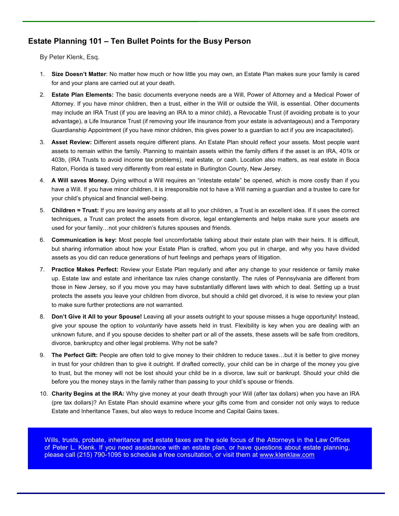# **Estate Planning 101 – Ten Bullet Points for the Busy Person**

By Peter Klenk, Esq.

- 1. **Size Doesn't Matter**: No matter how much or how little you may own, an Estate Plan makes sure your family is cared for and your plans are carried out at your death.
- 2. **Estate Plan Elements:** The basic documents everyone needs are a Will, Power of Attorney and a Medical Power of Attorney. If you have minor children, then a trust, either in the Will or outside the Will, is essential. Other documents may include an IRA Trust (if you are leaving an IRA to a minor child), a Revocable Trust (if avoiding probate is to your advantage), a Life Insurance Trust (if removing your life insurance from your estate is advantageous) and a Temporary Guardianship Appointment (if you have minor children, this gives power to a guardian to act if you are incapacitated).
- 3. **Asset Review:** Different assets require different plans. An Estate Plan should reflect your assets. Most people want assets to remain within the family. Planning to maintain assets within the family differs if the asset is an IRA, 401k or 403b, (IRA Trusts to avoid income tax problems), real estate, or cash. Location also matters, as real estate in Boca Raton, Florida is taxed very differently from real estate in Burlington County, New Jersey.
- 4. **A Will saves Money.** Dying without a Will requires an "intestate estate" be opened, which is more costly than if you have a Will. If you have minor children, it is irresponsible not to have a Will naming a guardian and a trustee to care for your child's physical and financial well-being.
- 5. **Children = Trust:** If you are leaving any assets at all to your children, a Trust is an excellent idea. If it uses the correct techniques, a Trust can protect the assets from divorce, legal entanglements and helps make sure your assets are used for your family...not your children's futures spouses and friends.
- 6. **Communication is key:** Most people feel uncomfortable talking about their estate plan with their heirs. It is difficult, but sharing information about how your Estate Plan is crafted, whom you put in charge, and why you have divided assets as you did can reduce generations of hurt feelings and perhaps years of litigation.
- 7. **Practice Makes Perfect:** Review your Estate Plan regularly and after any change to your residence or family make up. Estate law and estate and inheritance tax rules change constantly. The rules of Pennsylvania are different from those in New Jersey, so if you move you may have substantially different laws with which to deal. Setting up a trust protects the assets you leave your children from divorce, but should a child get divorced, it is wise to review your plan to make sure further protections are not warranted.
- 8. **Don't Give it All to your Spouse!** Leaving all your assets outright to your spouse misses a huge opportunity! Instead, give your spouse the option to *voluntarily* have assets held in trust. Flexibility is key when you are dealing with an unknown future, and if you spouse decides to shelter part or all of the assets, these assets will be safe from creditors, divorce, bankruptcy and other legal problems. Why not be safe?
- 9. The Perfect Gift: People are often told to give money to their children to reduce taxes...but it is better to give money in trust for your children than to give it outright. If drafted correctly, your child can be in charge of the money you give to trust, but the money will not be lost should your child be in a divorce, law suit or bankrupt. Should your child die before you the money stays in the family rather than passing to your child's spouse or friends.
- 10. **Charity Begins at the IRA:** Why give money at your death through your Will (after tax dollars) when you have an IRA (pre tax dollars)? An Estate Plan should examine where your gifts come from and consider not only ways to reduce Estate and Inheritance Taxes, but also ways to reduce Income and Capital Gains taxes.

Wills, trusts, probate, inheritance and estate taxes are the sole focus of the Attorneys in the Law Offices of Peter L. Klenk. If you need assistance with an estate plan, or have questions about estate planning, please call (215) 790-1095 to schedule a free consultation, or visit them at www.klenklaw.com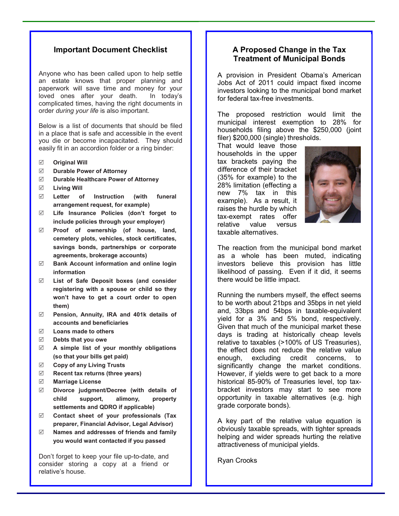#### **Important Document Checklist**

Anyone who has been called upon to help settle an estate knows that proper planning and paperwork will save time and money for your loved ones after your death. In today's complicated times, having the right documents in order *during your life* is also important.

Below is a list of documents that should be filed in a place that is safe and accessible in the event you die or become incapacitated. They should easily fit in an accordion folder or a ring binder:

- **Original Will**
- **Durable Power of Attorney**
- **Durable Healthcare Power of Attorney**
- **Living Will**
- **Letter of Instruction (with funeral arrangement request, for example)**
- **Life Insurance Policies (don't forget to include policies through your employer)**
- **Proof of ownership (of house, land, cemetery plots, vehicles, stock certificates, savings bonds, partnerships or corporate agreements, brokerage accounts)**
- **Bank Account information and online login information**
- **List of Safe Deposit boxes (and consider registering with a spouse or child so they won't have to get a court order to open them)**
- **Pension, Annuity, IRA and 401k details of accounts and beneficiaries**
- **Loans made to others**
- **Debts that you owe**
- **A simple list of your monthly obligations (so that your bills get paid)**
- **Copy of any Living Trusts**
- **Recent tax returns (three years)**
- **Marriage License**
- **Divorce judgment/Decree (with details of child support, alimony, property settlements and QDRO if applicable)**
- **Contact sheet of your professionals (Tax preparer, Financial Advisor, Legal Advisor)**
- **Names and addresses of friends and family you would want contacted if you passed**

Don't forget to keep your file up-to-date, and consider storing a copy at a friend or relative's house.

#### **A Proposed Change in the Tax Treatment of Municipal Bonds**

A provision in President Obama's American Jobs Act of 2011 could impact fixed income investors looking to the municipal bond market for federal tax-free investments.

The proposed restriction would limit the municipal interest exemption to 28% for households filing above the \$250,000 (joint filer) \$200,000 (single) thresholds.

That would leave those households in the upper tax brackets paying the difference of their bracket (35% for example) to the 28% limitation (effecting a new 7% tax in this example). As a result, it raises the hurdle by which tax-exempt rates offer relative value versus taxable alternatives.



The reaction from the municipal bond market as a whole has been muted, indicating investors believe this provision has little likelihood of passing. Even if it did, it seems there would be little impact.

Running the numbers myself, the effect seems to be worth about 21bps and 35bps in net yield and, 33bps and 54bps in taxable-equivalent yield for a 3% and 5% bond, respectively. Given that much of the municipal market these days is trading at historically cheap levels relative to taxables (>100% of US Treasuries), the effect does not reduce the relative value enough, excluding credit concerns, to significantly change the market conditions. However, if yields were to get back to a more historical 85-90% of Treasuries level, top taxbracket investors may start to see more opportunity in taxable alternatives (e.g. high grade corporate bonds).

A key part of the relative value equation is obviously taxable spreads, with tighter spreads helping and wider spreads hurting the relative attractiveness of municipal yields.

Ryan Crooks